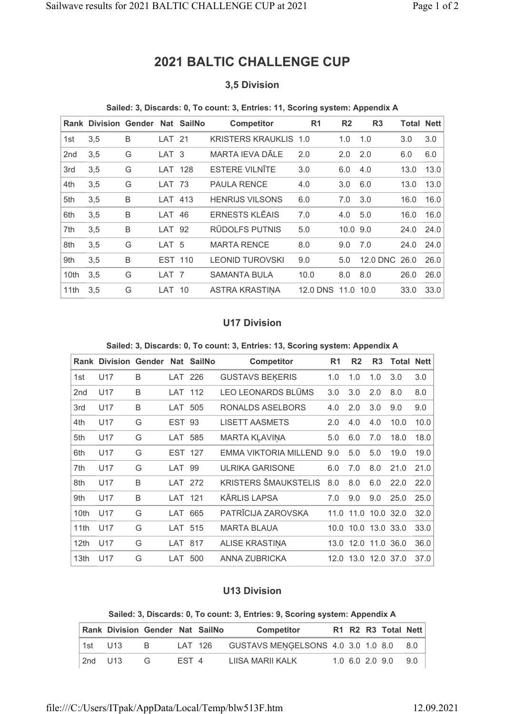# 2021 BALTIC CHALLENGE CUP

# 3,5 Division

#### Sailed: 3, Discards: 0, To count: 3, Entries: 11, Scoring system: Appendix A

|                 | <b>Rank Division Gender Nat SailNo</b> |   |                  |     | <b>Competitor</b>            | R <sub>1</sub>  | R <sub>2</sub> | R <sub>3</sub> | <b>Total Nett</b> |      |
|-----------------|----------------------------------------|---|------------------|-----|------------------------------|-----------------|----------------|----------------|-------------------|------|
| 1st             | 3,5                                    | B | LAT 21           |     | <b>KRISTERS KRAUKLIS 1.0</b> |                 | 1.0            | 1.0            | 3.0               | 3.0  |
| 2 <sub>nd</sub> | 3,5                                    | G | LAT <sub>3</sub> |     | MARTA IEVA DĀLE              | 2.0             | 2.0            | 2.0            | 6.0               | 6.0  |
| 3rd             | 3,5                                    | G | LAT 128          |     | <b>ESTERE VILNĪTE</b>        | 3.0             | 6.0            | 4.0            | 13.0              | 13.0 |
| 4th             | 3,5                                    | G | LAT 73           |     | <b>PAULA RENCE</b>           | 4.0             | 3.0            | 6.0            | 13.0              | 13.0 |
| 5th             | 3,5                                    | B | LAT              | 413 | <b>HENRIJS VILSONS</b>       | 6.0             | 7.0            | 3.0            | 16.0              | 16.0 |
| 6th             | 3,5                                    | B | LAT              | 46  | <b>ERNESTS KLEAIS</b>        | 7.0             | 4.0            | 5.0            | 16.0              | 16.0 |
| 7th             | 3,5                                    | B | LAT.             | 92  | <b>RŪDOLFS PUTNIS</b>        | 5.0             | 10.0           | 9.0            | 24.0              | 24.0 |
| 8th             | 3,5                                    | G | LAT <sub>5</sub> |     | <b>MARTA RENCE</b>           | 8.0             | 9.0            | 7.0            | 24.0              | 24.0 |
| 9th             | 3,5                                    | B | <b>EST 110</b>   |     | <b>LEONID TUROVSKI</b>       | 9.0             | 5.0            | 12.0 DNC       | 26.0              | 26.0 |
| 10th            | 3,5                                    | G | LAT <sub>7</sub> |     | <b>SAMANTA BULA</b>          | 10.0            | 8.0            | 8.0            | 26.0              | 26.0 |
| 11th            | 3,5                                    | G | LAT              | 10  | ASTRA KRASTINA               | <b>12.0 DNS</b> | 11.0           | 10.0           | 33.0              | 33.0 |

## U17 Division

#### Sailed: 3, Discards: 0, To count: 3, Entries: 13, Scoring system: Appendix A

|      | <b>Rank Division Gender Nat SailNo</b> |   |         |     | <b>Competitor</b>            | R <sub>1</sub> | R <sub>2</sub>      | R <sub>3</sub> | <b>Total Nett</b> |      |
|------|----------------------------------------|---|---------|-----|------------------------------|----------------|---------------------|----------------|-------------------|------|
| 1st  | U17                                    | B | LAT 226 |     | <b>GUSTAVS BEKERIS</b>       | 1.0            | 1.0                 | 1.0            | 3.0               | 3.0  |
| 2nd  | U <sub>17</sub>                        | B | LAT 112 |     | LEO LEONARDS BLŪMS           | 3.0            | 3.0                 | 2.0            | 8.0               | 8.0  |
| 3rd  | U17                                    | B | LAT 505 |     | RONALDS ASELBORS             | 4.0            | 2.0                 | 3.0            | 9.0               | 9.0  |
| 4th  | U17                                    | G | EST     | 93  | <b>LISETT AASMETS</b>        | 2.0            | 4.0                 | 4.0            | 10.0              | 10.0 |
| 5th  | U <sub>17</sub>                        | G | LAT 585 |     | MARTA KLAVINA                | 5.0            | 6.0                 | 7.0            | 18.0              | 18.0 |
| 6th  | U17                                    | G | EST 127 |     | <b>EMMA VIKTORIA MILLEND</b> | 9.0            | 5.0                 | 5.0            | 19.0              | 19.0 |
| 7th  | U17                                    | G | LAT     | 99  | <b>ULRIKA GARISONE</b>       | 6.0            | 7.0                 | 8.0            | 21.0              | 21.0 |
| 8th  | U <sub>17</sub>                        | B | LAT 272 |     | <b>KRISTERS ŠMAUKSTELIS</b>  | 8.0            | 8.0                 | 6.0            | 22.0              | 22.0 |
| 9th  | U17                                    | B | LAT     | 121 | <b>KĀRLIS LAPSA</b>          | 7.0            | 9.0                 | 9.0            | 25.0              | 25.0 |
| 10th | U17                                    | G | LAT     | 665 | PATRĪCIJA ZAROVSKA           | 11.0           | 11.0                | 10.0           | 32.0              | 32.0 |
| 11th | U17                                    | G | LAT 515 |     | <b>MARTA BLAUA</b>           |                | 10.0 10.0 13.0 33.0 |                |                   | 33.0 |
| 12th | U17                                    | G | LAT 817 |     | <b>ALISE KRASTINA</b>        |                | 13.0 12.0 11.0 36.0 |                |                   | 36.0 |
| 13th | U17                                    | G | LAT     | 500 | ANNA ZUBRICKA                |                | 12.0 13.0           |                | 12.0 37.0         | 37.0 |

## U13 Division

#### Sailed: 3, Discards: 0, To count: 3, Entries: 9, Scoring system: Appendix A

|           | Rank Division Gender Nat SailNo |   |       |         | <b>Competitor</b>                  |  | R1 R2 R3 Total Nett |       |
|-----------|---------------------------------|---|-------|---------|------------------------------------|--|---------------------|-------|
| l 1st U13 |                                 | в |       | LAT 126 | GUSTAVS MENGELSONS 4.0 3.0 1.0 8.0 |  |                     | - 8.0 |
| 2nd U13   |                                 |   | FST 4 |         | LIISA MARII KALK                   |  | 1.0 6.0 2.0 9.0     | 90 O  |